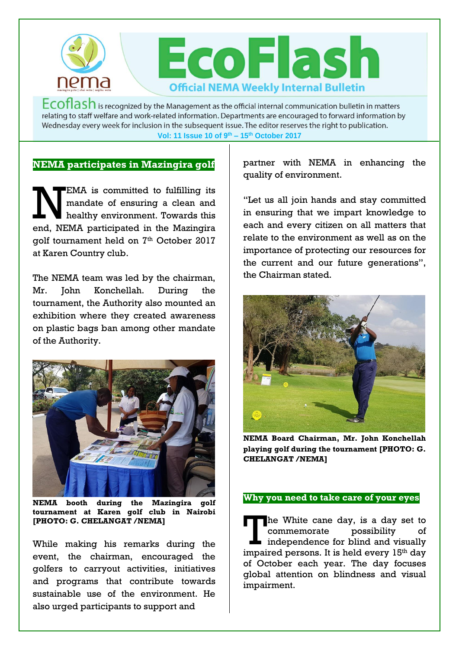

 $Ecoflash$  is recognized by the Management as the official internal communication bulletin in matters relating to staff welfare and work-related information. Departments are encouraged to forward information by Wednesday every week for inclusion in the subsequent issue. The editor reserves the right to publication. **Vol: 11 Issue 10 of 9 th – 15th October 2017**

# **NEMA participates in Mazingira golf**

EMA is committed to fulfilling its mandate of ensuring a clean and healthy environment. Towards this end, NEMA participated in the Mazingira golf tournament held on 7<sup>th</sup> October 2017 at Karen Country club.  $\mathbf{N}$ 

The NEMA team was led by the chairman, Mr. John Konchellah. During the tournament, the Authority also mounted an exhibition where they created awareness on plastic bags ban among other mandate of the Authority.



**NEMA booth during the Mazingira golf tournament at Karen golf club in Nairobi [PHOTO: G. CHELANGAT /NEMA]**

While making his remarks during the event, the chairman, encouraged the golfers to carryout activities, initiatives and programs that contribute towards sustainable use of the environment. He also urged participants to support and

partner with NEMA in enhancing the quality of environment.

"Let us all join hands and stay committed in ensuring that we impart knowledge to each and every citizen on all matters that relate to the environment as well as on the importance of protecting our resources for the current and our future generations", the Chairman stated.



**NEMA Board Chairman, Mr. John Konchellah playing golf during the tournament [PHOTO: G. CHELANGAT /NEMA]**

#### **Why you need to take care of your eyes**

The White cane day, is a day set to commemorate possibility of The White cane day, is a day set to<br>
commemorate possibility of<br>
independence for blind and visually<br>
impaired persons. It is hold every 15th day impaired persons. It is held every 15<sup>th</sup> day of October each year. The day focuses global attention on blindness and visual impairment.